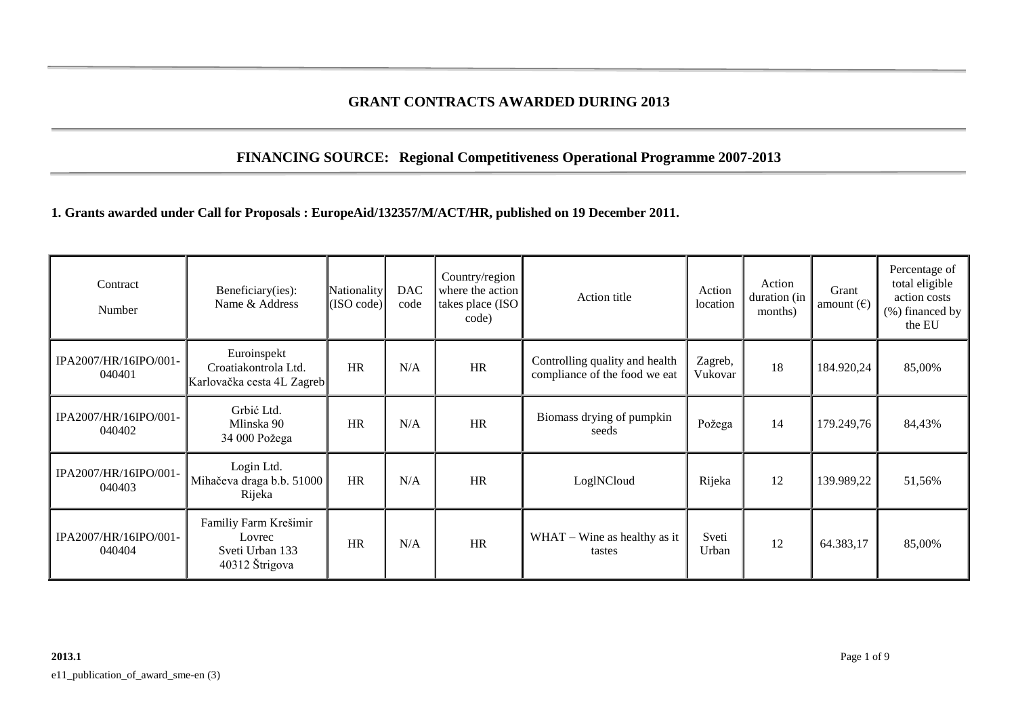## **GRANT CONTRACTS AWARDED DURING 2013**

## **FINANCING SOURCE: Regional Competitiveness Operational Programme 2007-2013**

**1. Grants awarded under Call for Proposals : EuropeAid/132357/M/ACT/HR, published on 19 December 2011.**

| Contract<br>Number              | Beneficiary(ies):<br>Name & Address                                  | Nationality<br>(SO code) | <b>DAC</b><br>code | Country/region<br>where the action<br>takes place (ISO<br>code) | Action title                                                    | Action<br>location | Action<br>duration (in<br>months) | Grant<br>amount $(\epsilon)$ | Percentage of<br>total eligible<br>action costs<br>(%) financed by<br>the EU |
|---------------------------------|----------------------------------------------------------------------|--------------------------|--------------------|-----------------------------------------------------------------|-----------------------------------------------------------------|--------------------|-----------------------------------|------------------------------|------------------------------------------------------------------------------|
| IPA2007/HR/16IPO/001-<br>040401 | Euroinspekt<br>Croatiakontrola Ltd.<br>Karlovačka cesta 4L Zagreb    | <b>HR</b>                | N/A                | <b>HR</b>                                                       | Controlling quality and health<br>compliance of the food we eat | Zagreb,<br>Vukovar | 18                                | 184.920,24                   | 85,00%                                                                       |
| IPA2007/HR/16IPO/001-<br>040402 | Grbić Ltd.<br>Mlinska 90<br>34 000 Požega                            | <b>HR</b>                | N/A                | <b>HR</b>                                                       | Biomass drying of pumpkin<br>seeds                              | Požega             | 14                                | 179.249,76                   | 84,43%                                                                       |
| IPA2007/HR/16IPO/001-<br>040403 | Login Ltd.<br>Mihačeva draga b.b. 51000<br>Rijeka                    | <b>HR</b>                | N/A                | <b>HR</b>                                                       | LoglNCloud                                                      | Rijeka             | 12                                | 139.989,22                   | 51,56%                                                                       |
| IPA2007/HR/16IPO/001-<br>040404 | Familiy Farm Krešimir<br>Lovrec<br>Sveti Urban 133<br>40312 Štrigova | <b>HR</b>                | N/A                | <b>HR</b>                                                       | $WHAT - Wine$ as healthy as it<br>tastes                        | Sveti<br>Urban     | 12                                | 64.383,17                    | 85,00%                                                                       |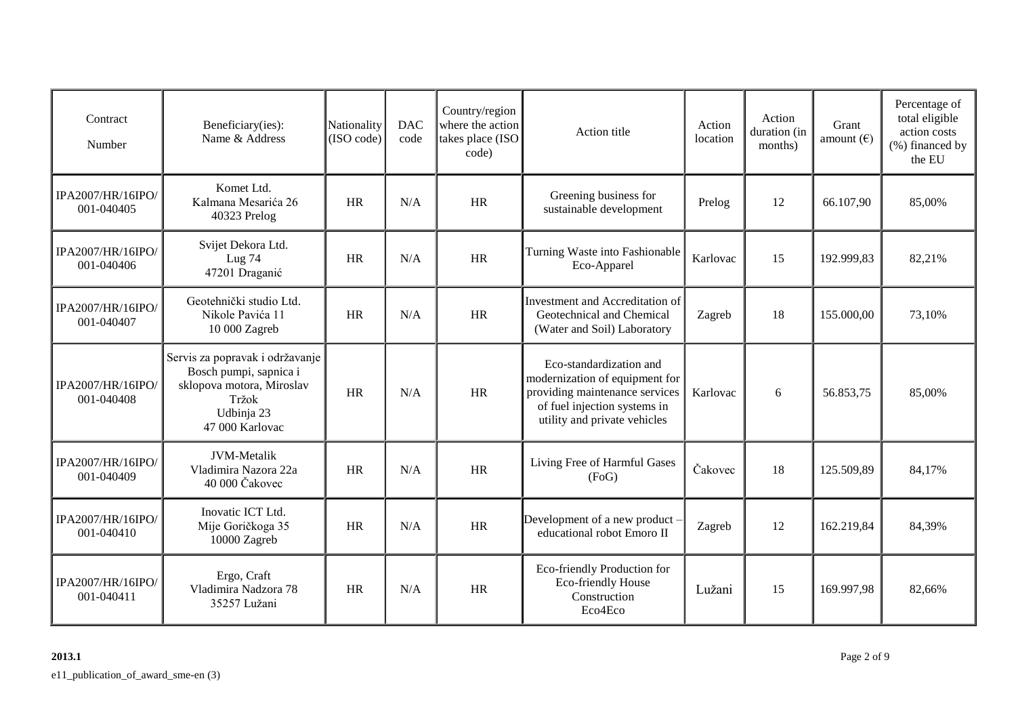| Contract<br>Number              | Beneficiary(ies):<br>Name & Address                                                                                              | Nationality<br>(ISO code) | <b>DAC</b><br>code | Country/region<br>where the action<br>takes place (ISO<br>code) | Action title                                                                                                                                                | Action<br>location | Action<br>duration (in<br>months) | Grant<br>amount $(\epsilon)$ | Percentage of<br>total eligible<br>action costs<br>(%) financed by<br>the EU |
|---------------------------------|----------------------------------------------------------------------------------------------------------------------------------|---------------------------|--------------------|-----------------------------------------------------------------|-------------------------------------------------------------------------------------------------------------------------------------------------------------|--------------------|-----------------------------------|------------------------------|------------------------------------------------------------------------------|
| IPA2007/HR/16IPO/<br>001-040405 | Komet Ltd.<br>Kalmana Mesarića 26<br>40323 Prelog                                                                                | <b>HR</b>                 | N/A                | <b>HR</b>                                                       | Greening business for<br>sustainable development                                                                                                            | Prelog             | 12                                | 66.107,90                    | 85,00%                                                                       |
| IPA2007/HR/16IPO/<br>001-040406 | Svijet Dekora Ltd.<br>Lug <sub>74</sub><br>47201 Draganić                                                                        | HR                        | N/A                | <b>HR</b>                                                       | Turning Waste into Fashionable<br>Eco-Apparel                                                                                                               | Karlovac           | 15                                | 192.999,83                   | 82,21%                                                                       |
| IPA2007/HR/16IPO/<br>001-040407 | Geotehnički studio Ltd.<br>Nikole Pavića 11<br>10 000 Zagreb                                                                     | <b>HR</b>                 | N/A                | <b>HR</b>                                                       | Investment and Accreditation of<br>Geotechnical and Chemical<br>(Water and Soil) Laboratory                                                                 | Zagreb             | 18                                | 155.000,00                   | 73,10%                                                                       |
| IPA2007/HR/16IPO/<br>001-040408 | Servis za popravak i održavanje<br>Bosch pumpi, sapnica i<br>sklopova motora, Miroslav<br>Tržok<br>Udbinja 23<br>47 000 Karlovac | HR                        | N/A                | <b>HR</b>                                                       | Eco-standardization and<br>modernization of equipment for<br>providing maintenance services<br>of fuel injection systems in<br>utility and private vehicles | Karlovac           | 6                                 | 56.853,75                    | 85,00%                                                                       |
| IPA2007/HR/16IPO/<br>001-040409 | <b>JVM-Metalik</b><br>Vladimira Nazora 22a<br>40 000 Čakovec                                                                     | <b>HR</b>                 | N/A                | <b>HR</b>                                                       | Living Free of Harmful Gases<br>(FoG)                                                                                                                       | Čakovec            | 18                                | 125.509,89                   | 84,17%                                                                       |
| IPA2007/HR/16IPO/<br>001-040410 | Inovatic ICT Ltd.<br>Mije Goričkoga 35<br>10000 Zagreb                                                                           | HR                        | N/A                | <b>HR</b>                                                       | Development of a new product -<br>educational robot Emoro II                                                                                                | Zagreb             | 12                                | 162.219,84                   | 84,39%                                                                       |
| IPA2007/HR/16IPO/<br>001-040411 | Ergo, Craft<br>Vladimira Nadzora 78<br>35257 Lužani                                                                              | HR                        | N/A                | <b>HR</b>                                                       | Eco-friendly Production for<br><b>Eco-friendly House</b><br>Construction<br>Eco4Eco                                                                         | Lužani             | 15                                | 169.997,98                   | 82,66%                                                                       |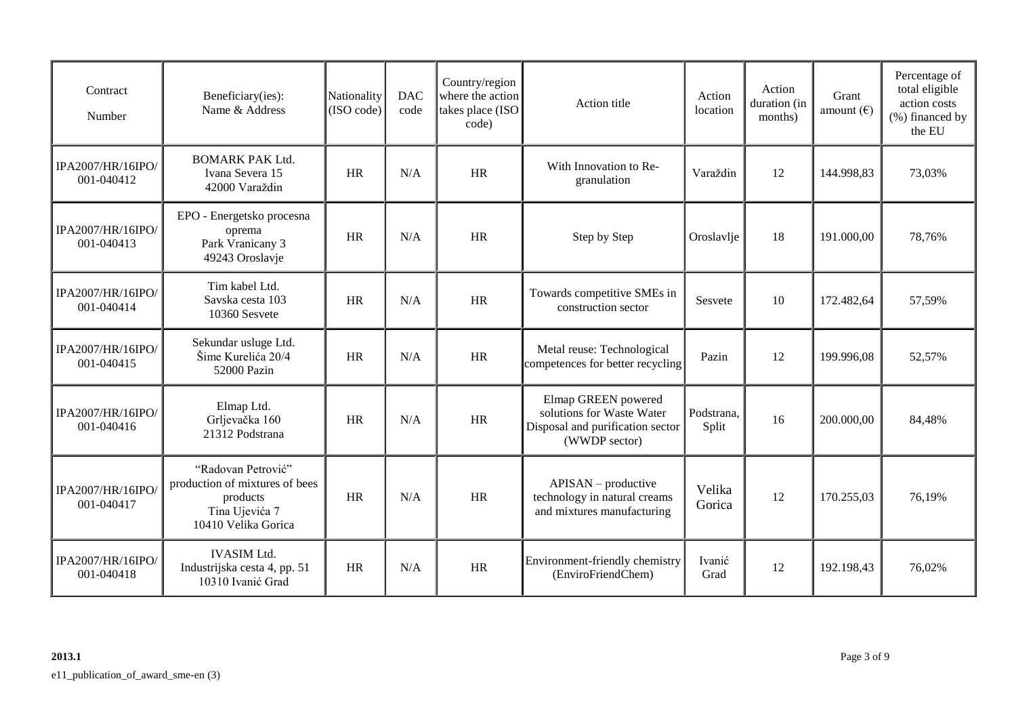| Contract<br>Number              | Beneficiary(ies):<br>Name & Address                                                                       | Nationality<br>(ISO code) | <b>DAC</b><br>code | Country/region<br>where the action<br>takes place (ISO<br>code) | Action title                                                                                          | Action<br>location  | Action<br>duration (in<br>months) | Grant<br>amount $(\epsilon)$ | Percentage of<br>total eligible<br>action costs<br>(%) financed by<br>the EU |
|---------------------------------|-----------------------------------------------------------------------------------------------------------|---------------------------|--------------------|-----------------------------------------------------------------|-------------------------------------------------------------------------------------------------------|---------------------|-----------------------------------|------------------------------|------------------------------------------------------------------------------|
| IPA2007/HR/16IPO/<br>001-040412 | <b>BOMARK PAK Ltd.</b><br>Ivana Severa 15<br>42000 Varaždin                                               | <b>HR</b>                 | N/A                | <b>HR</b>                                                       | With Innovation to Re-<br>granulation                                                                 | Varaždin            | 12                                | 144.998,83                   | 73,03%                                                                       |
| IPA2007/HR/16IPO/<br>001-040413 | EPO - Energetsko procesna<br>oprema<br>Park Vranicany 3<br>49243 Oroslavje                                | HR                        | N/A                | <b>HR</b>                                                       | Step by Step                                                                                          | Oroslavlje          | 18                                | 191.000,00                   | 78,76%                                                                       |
| IPA2007/HR/16IPO/<br>001-040414 | Tim kabel Ltd.<br>Savska cesta 103<br>10360 Sesvete                                                       | <b>HR</b>                 | N/A                | <b>HR</b>                                                       | Towards competitive SMEs in<br>construction sector                                                    | Sesvete             | 10                                | 172.482,64                   | 57,59%                                                                       |
| IPA2007/HR/16IPO/<br>001-040415 | Sekundar usluge Ltd.<br>Šime Kurelića 20/4<br>52000 Pazin                                                 | <b>HR</b>                 | N/A                | HR                                                              | Metal reuse: Technological<br>competences for better recycling                                        | Pazin               | 12                                | 199.996,08                   | 52,57%                                                                       |
| IPA2007/HR/16IPO/<br>001-040416 | Elmap Ltd.<br>Grljevačka 160<br>21312 Podstrana                                                           | HR                        | N/A                | HR                                                              | Elmap GREEN powered<br>solutions for Waste Water<br>Disposal and purification sector<br>(WWDP sector) | Podstrana,<br>Split | 16                                | 200.000,00                   | 84,48%                                                                       |
| IPA2007/HR/16IPO/<br>001-040417 | "Radovan Petrović"<br>production of mixtures of bees<br>products<br>Tina Ujevića 7<br>10410 Velika Gorica | <b>HR</b>                 | N/A                | HR                                                              | $APISAN - productive$<br>technology in natural creams<br>and mixtures manufacturing                   | Velika<br>Gorica    | 12                                | 170.255,03                   | 76,19%                                                                       |
| IPA2007/HR/16IPO/<br>001-040418 | <b>IVASIM Ltd.</b><br>Industrijska cesta 4, pp. 51<br>10310 Ivanić Grad                                   | <b>HR</b>                 | N/A                | HR                                                              | Environment-friendly chemistry<br>(EnviroFriendChem)                                                  | Ivanić<br>Grad      | 12                                | 192.198,43                   | 76,02%                                                                       |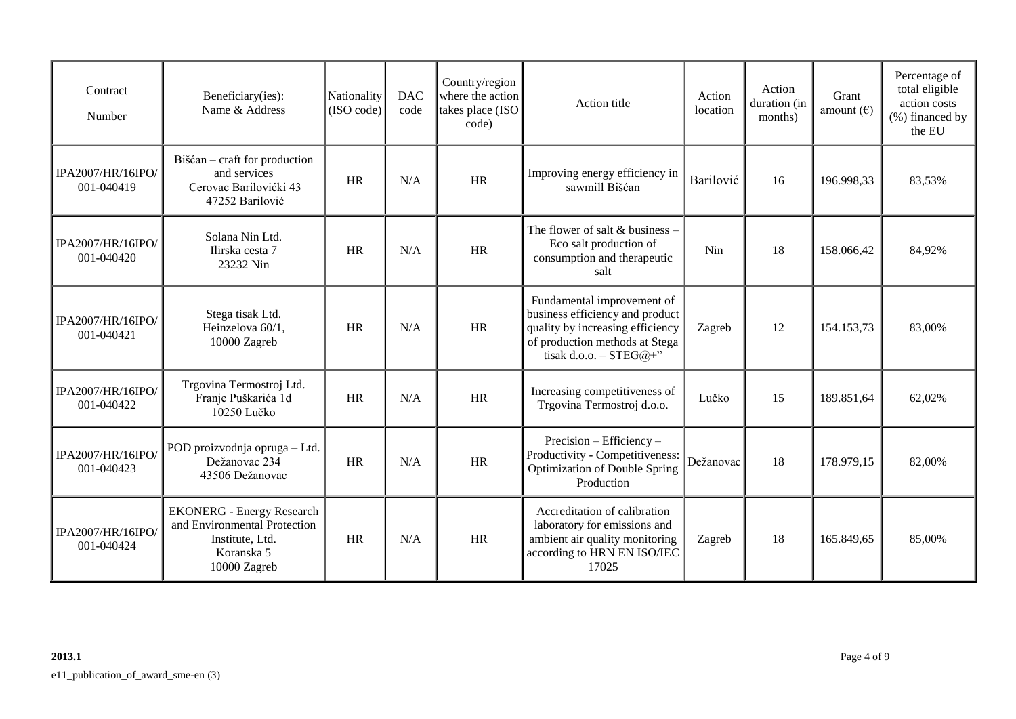| Contract<br>Number              | Beneficiary(ies):<br>Name & Address                                                                               | Nationality<br>(ISO code) | <b>DAC</b><br>code | Country/region<br>where the action<br>takes place (ISO<br>code) | Action title                                                                                                                                                  | Action<br>location | Action<br>duration (in<br>months) | Grant<br>amount $(\epsilon)$ | Percentage of<br>total eligible<br>action costs<br>(%) financed by<br>the EU |
|---------------------------------|-------------------------------------------------------------------------------------------------------------------|---------------------------|--------------------|-----------------------------------------------------------------|---------------------------------------------------------------------------------------------------------------------------------------------------------------|--------------------|-----------------------------------|------------------------------|------------------------------------------------------------------------------|
| IPA2007/HR/16IPO/<br>001-040419 | Bišćan – craft for production<br>and services<br>Cerovac Barilovićki 43<br>47252 Barilović                        | <b>HR</b>                 | N/A                | HR                                                              | Improving energy efficiency in<br>sawmill Bišćan                                                                                                              | Barilović          | 16                                | 196.998,33                   | 83,53%                                                                       |
| IPA2007/HR/16IPO/<br>001-040420 | Solana Nin Ltd.<br>Ilirska cesta 7<br>23232 Nin                                                                   | <b>HR</b>                 | N/A                | HR                                                              | The flower of salt $&$ business –<br>Eco salt production of<br>consumption and therapeutic<br>salt                                                            | Nin                | 18                                | 158.066,42                   | 84,92%                                                                       |
| IPA2007/HR/16IPO/<br>001-040421 | Stega tisak Ltd.<br>Heinzelova 60/1,<br>10000 Zagreb                                                              | <b>HR</b>                 | N/A                | HR                                                              | Fundamental improvement of<br>business efficiency and product<br>quality by increasing efficiency<br>of production methods at Stega<br>tisak d.o.o. - STEG@+" | Zagreb             | 12                                | 154.153,73                   | 83,00%                                                                       |
| IPA2007/HR/16IPO/<br>001-040422 | Trgovina Termostroj Ltd.<br>Franje Puškarića 1d<br>10250 Lučko                                                    | <b>HR</b>                 | N/A                | <b>HR</b>                                                       | Increasing competitiveness of<br>Trgovina Termostroj d.o.o.                                                                                                   | Lučko              | 15                                | 189.851,64                   | 62,02%                                                                       |
| IPA2007/HR/16IPO/<br>001-040423 | POD proizvodnja opruga – Ltd.<br>Dežanovac 234<br>43506 Dežanovac                                                 | <b>HR</b>                 | N/A                | HR                                                              | Precision - Efficiency -<br>Productivity - Competitiveness:<br><b>Optimization of Double Spring</b><br>Production                                             | Dežanovac          | 18                                | 178.979,15                   | 82,00%                                                                       |
| IPA2007/HR/16IPO/<br>001-040424 | <b>EKONERG</b> - Energy Research<br>and Environmental Protection<br>Institute, Ltd.<br>Koranska 5<br>10000 Zagreb | <b>HR</b>                 | N/A                | HR                                                              | Accreditation of calibration<br>laboratory for emissions and<br>ambient air quality monitoring<br>according to HRN EN ISO/IEC<br>17025                        | Zagreb             | 18                                | 165.849,65                   | 85,00%                                                                       |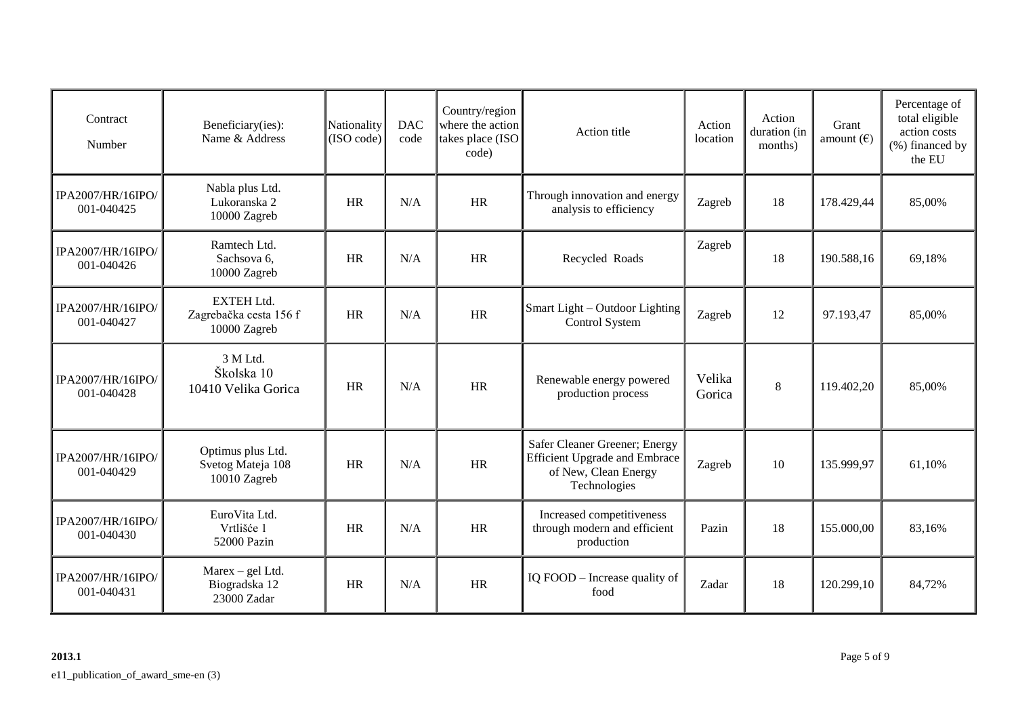| Contract<br>Number              | Beneficiary(ies):<br>Name & Address                         | Nationality<br>(ISO code) | <b>DAC</b><br>code | Country/region<br>where the action<br>takes place (ISO<br>code) | Action title                                                                                                  | Action<br>location | Action<br>duration (in<br>months) | Grant<br>amount $(\epsilon)$ | Percentage of<br>total eligible<br>action costs<br>(%) financed by<br>the EU |
|---------------------------------|-------------------------------------------------------------|---------------------------|--------------------|-----------------------------------------------------------------|---------------------------------------------------------------------------------------------------------------|--------------------|-----------------------------------|------------------------------|------------------------------------------------------------------------------|
| IPA2007/HR/16IPO/<br>001-040425 | Nabla plus Ltd.<br>Lukoranska 2<br>10000 Zagreb             | HR                        | N/A                | <b>HR</b>                                                       | Through innovation and energy<br>analysis to efficiency                                                       | Zagreb             | 18                                | 178.429,44                   | 85,00%                                                                       |
| IPA2007/HR/16IPO/<br>001-040426 | Ramtech Ltd.<br>Sachsova 6,<br>10000 Zagreb                 | HR                        | N/A                | <b>HR</b>                                                       | Recycled Roads                                                                                                | Zagreb             | 18                                | 190.588,16                   | 69,18%                                                                       |
| IPA2007/HR/16IPO/<br>001-040427 | <b>EXTEH Ltd.</b><br>Zagrebačka cesta 156 f<br>10000 Zagreb | HR                        | N/A                | <b>HR</b>                                                       | Smart Light – Outdoor Lighting<br>Control System                                                              | Zagreb             | 12                                | 97.193,47                    | 85,00%                                                                       |
| IPA2007/HR/16IPO/<br>001-040428 | 3 M Ltd.<br>Školska 10<br>10410 Velika Gorica               | HR                        | N/A                | <b>HR</b>                                                       | Renewable energy powered<br>production process                                                                | Velika<br>Gorica   | 8                                 | 119.402,20                   | 85,00%                                                                       |
| IPA2007/HR/16IPO/<br>001-040429 | Optimus plus Ltd.<br>Svetog Mateja 108<br>10010 Zagreb      | HR                        | N/A                | <b>HR</b>                                                       | Safer Cleaner Greener; Energy<br><b>Efficient Upgrade and Embrace</b><br>of New, Clean Energy<br>Technologies | Zagreb             | 10                                | 135.999,97                   | 61,10%                                                                       |
| IPA2007/HR/16IPO/<br>001-040430 | EuroVita Ltd.<br>Vrtlišće 1<br>52000 Pazin                  | HR                        | N/A                | <b>HR</b>                                                       | Increased competitiveness<br>through modern and efficient<br>production                                       | Pazin              | 18                                | 155.000,00                   | 83,16%                                                                       |
| IPA2007/HR/16IPO/<br>001-040431 | $Marex - gel Ltd.$<br>Biogradska 12<br>23000 Zadar          | HR                        | N/A                | <b>HR</b>                                                       | IQ FOOD - Increase quality of<br>food                                                                         | Zadar              | 18                                | 120.299,10                   | 84,72%                                                                       |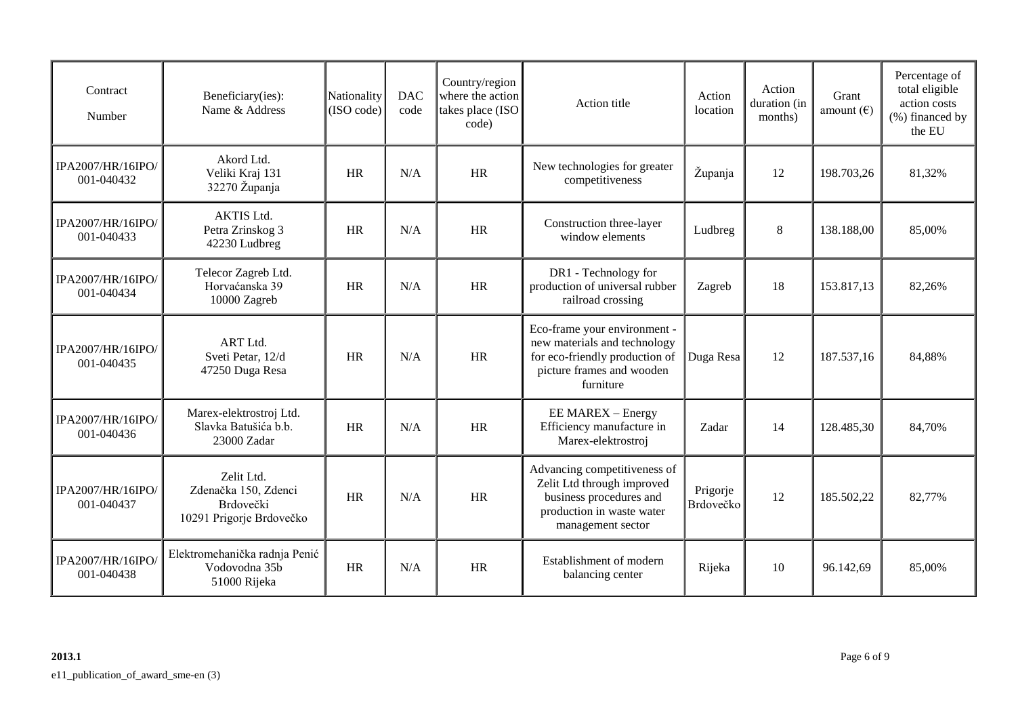| Contract<br>Number              | Beneficiary(ies):<br>Name & Address                                         | Nationality<br>(ISO code) | <b>DAC</b><br>code | Country/region<br>where the action<br>takes place (ISO<br>code) | Action title                                                                                                                             | Action<br>location    | Action<br>duration (in<br>months) | Grant<br>amount $(\epsilon)$ | Percentage of<br>total eligible<br>action costs<br>(%) financed by<br>the EU |
|---------------------------------|-----------------------------------------------------------------------------|---------------------------|--------------------|-----------------------------------------------------------------|------------------------------------------------------------------------------------------------------------------------------------------|-----------------------|-----------------------------------|------------------------------|------------------------------------------------------------------------------|
| IPA2007/HR/16IPO/<br>001-040432 | Akord Ltd.<br>Veliki Kraj 131<br>32270 Županja                              | <b>HR</b>                 | N/A                | HR                                                              | New technologies for greater<br>competitiveness                                                                                          | Županja               | 12                                | 198.703,26                   | 81,32%                                                                       |
| IPA2007/HR/16IPO/<br>001-040433 | <b>AKTIS Ltd.</b><br>Petra Zrinskog 3<br>42230 Ludbreg                      | <b>HR</b>                 | N/A                | HR                                                              | Construction three-layer<br>window elements                                                                                              | Ludbreg               | 8                                 | 138.188,00                   | 85,00%                                                                       |
| IPA2007/HR/16IPO/<br>001-040434 | Telecor Zagreb Ltd.<br>Horvaćanska 39<br>10000 Zagreb                       | <b>HR</b>                 | N/A                | <b>HR</b>                                                       | DR1 - Technology for<br>production of universal rubber<br>railroad crossing                                                              | Zagreb                | 18                                | 153.817,13                   | 82,26%                                                                       |
| IPA2007/HR/16IPO/<br>001-040435 | ART Ltd.<br>Sveti Petar, 12/d<br>47250 Duga Resa                            | <b>HR</b>                 | N/A                | HR                                                              | Eco-frame your environment -<br>new materials and technology<br>for eco-friendly production of<br>picture frames and wooden<br>furniture | Duga Resa             | 12                                | 187.537,16                   | 84,88%                                                                       |
| IPA2007/HR/16IPO/<br>001-040436 | Marex-elektrostroj Ltd.<br>Slavka Batušića b.b.<br>23000 Zadar              | <b>HR</b>                 | N/A                | HR                                                              | EE MAREX - Energy<br>Efficiency manufacture in<br>Marex-elektrostroj                                                                     | Zadar                 | 14                                | 128.485,30                   | 84,70%                                                                       |
| IPA2007/HR/16IPO/<br>001-040437 | Zelit Ltd.<br>Zdenačka 150, Zdenci<br>Brdovečki<br>10291 Prigorje Brdovečko | <b>HR</b>                 | N/A                | <b>HR</b>                                                       | Advancing competitiveness of<br>Zelit Ltd through improved<br>business procedures and<br>production in waste water<br>management sector  | Prigorje<br>Brdovečko | 12                                | 185.502,22                   | 82,77%                                                                       |
| IPA2007/HR/16IPO/<br>001-040438 | Elektromehanička radnja Penić<br>Vodovodna 35b<br>51000 Rijeka              | <b>HR</b>                 | N/A                | HR                                                              | Establishment of modern<br>balancing center                                                                                              | Rijeka                | 10                                | 96.142,69                    | 85,00%                                                                       |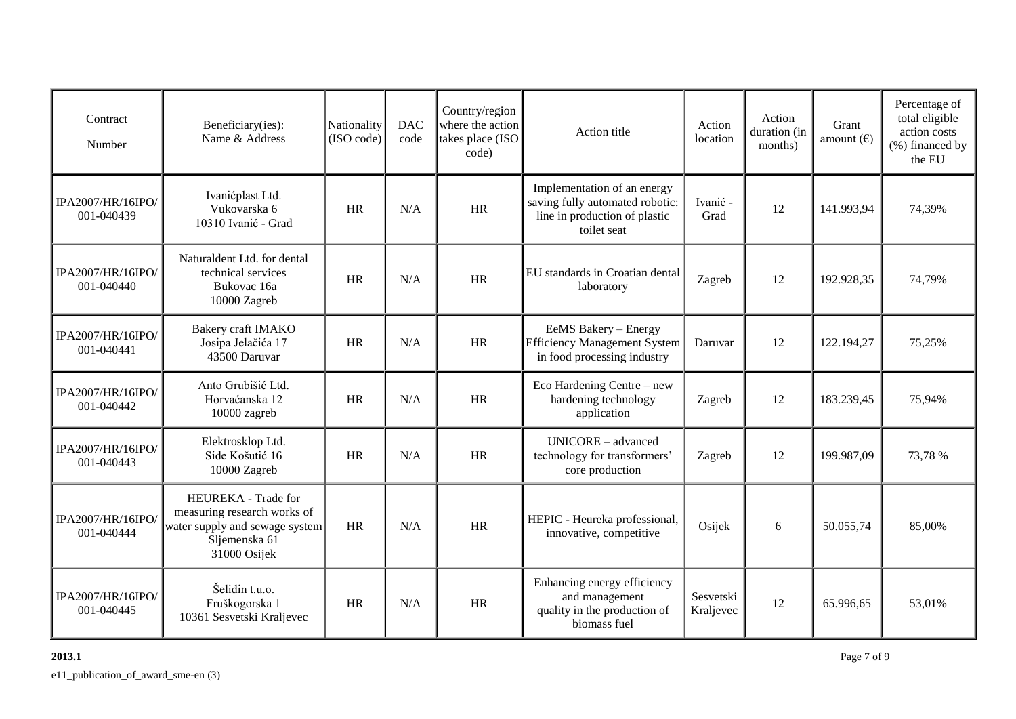| Contract<br>Number              | Beneficiary(ies):<br>Name & Address                                                                                   | Nationality<br>(ISO code) | <b>DAC</b><br>code | Country/region<br>where the action<br>takes place (ISO<br>code) | Action title                                                                                                   | Action<br>location     | Action<br>duration (in<br>months) | Grant<br>amount $(\epsilon)$ | Percentage of<br>total eligible<br>action costs<br>(%) financed by<br>the EU |
|---------------------------------|-----------------------------------------------------------------------------------------------------------------------|---------------------------|--------------------|-----------------------------------------------------------------|----------------------------------------------------------------------------------------------------------------|------------------------|-----------------------------------|------------------------------|------------------------------------------------------------------------------|
| IPA2007/HR/16IPO/<br>001-040439 | Ivanićplast Ltd.<br>Vukovarska 6<br>10310 Ivanić - Grad                                                               | <b>HR</b>                 | N/A                | <b>HR</b>                                                       | Implementation of an energy<br>saving fully automated robotic:<br>line in production of plastic<br>toilet seat | Ivanić -<br>Grad       | 12                                | 141.993,94                   | 74,39%                                                                       |
| IPA2007/HR/16IPO/<br>001-040440 | Naturaldent Ltd. for dental<br>technical services<br>Bukovac 16a<br>10000 Zagreb                                      | <b>HR</b>                 | N/A                | <b>HR</b>                                                       | EU standards in Croatian dental<br>laboratory                                                                  | Zagreb                 | 12                                | 192.928,35                   | 74,79%                                                                       |
| IPA2007/HR/16IPO/<br>001-040441 | Bakery craft IMAKO<br>Josipa Jelačića 17<br>43500 Daruvar                                                             | HR                        | N/A                | HR                                                              | EeMS Bakery - Energy<br><b>Efficiency Management System</b><br>in food processing industry                     | Daruvar                | 12                                | 122.194,27                   | 75,25%                                                                       |
| IPA2007/HR/16IPO/<br>001-040442 | Anto Grubišić Ltd.<br>Horvaćanska 12<br>10000 zagreb                                                                  | HR                        | N/A                | HR                                                              | Eco Hardening Centre - new<br>hardening technology<br>application                                              | Zagreb                 | 12                                | 183.239,45                   | 75,94%                                                                       |
| IPA2007/HR/16IPO/<br>001-040443 | Elektrosklop Ltd.<br>Side Košutić 16<br>10000 Zagreb                                                                  | <b>HR</b>                 | N/A                | HR                                                              | UNICORE - advanced<br>technology for transformers'<br>core production                                          | Zagreb                 | 12                                | 199.987,09                   | 73,78 %                                                                      |
| IPA2007/HR/16IPO/<br>001-040444 | HEUREKA - Trade for<br>measuring research works of<br>water supply and sewage system<br>Sljemenska 61<br>31000 Osijek | <b>HR</b>                 | N/A                | <b>HR</b>                                                       | HEPIC - Heureka professional,<br>innovative, competitive                                                       | Osijek                 | 6                                 | 50.055,74                    | 85,00%                                                                       |
| IPA2007/HR/16IPO/<br>001-040445 | Šelidin t.u.o.<br>Fruškogorska 1<br>10361 Sesvetski Kraljevec                                                         | <b>HR</b>                 | N/A                | <b>HR</b>                                                       | Enhancing energy efficiency<br>and management<br>quality in the production of<br>biomass fuel                  | Sesvetski<br>Kraljevec | 12                                | 65.996,65                    | 53,01%                                                                       |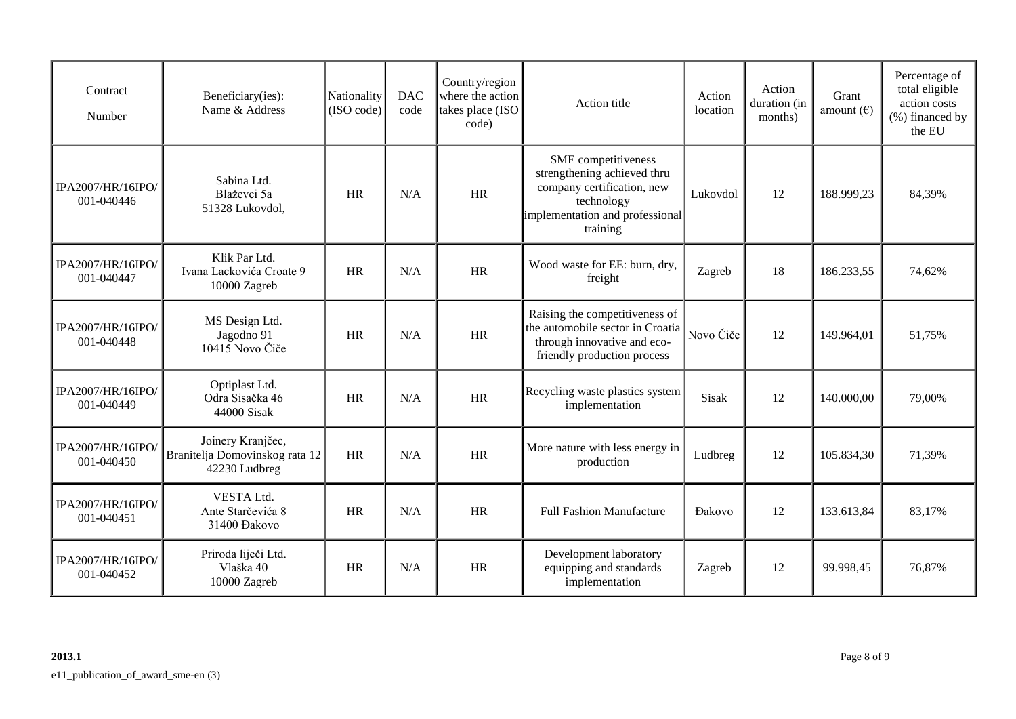| Contract<br>Number              | Beneficiary(ies):<br>Name & Address                                  | Nationality<br>(ISO code) | <b>DAC</b><br>code | Country/region<br>where the action<br>takes place (ISO<br>code) | Action title                                                                                                                                  | Action<br>location | Action<br>duration (in<br>months) | Grant<br>amount $(\epsilon)$ | Percentage of<br>total eligible<br>action costs<br>(%) financed by<br>the EU |
|---------------------------------|----------------------------------------------------------------------|---------------------------|--------------------|-----------------------------------------------------------------|-----------------------------------------------------------------------------------------------------------------------------------------------|--------------------|-----------------------------------|------------------------------|------------------------------------------------------------------------------|
| IPA2007/HR/16IPO/<br>001-040446 | Sabina Ltd.<br>Blaževci 5a<br>51328 Lukovdol,                        | <b>HR</b>                 | N/A                | HR                                                              | SME competitiveness<br>strengthening achieved thru<br>company certification, new<br>technology<br>implementation and professional<br>training | Lukovdol           | 12                                | 188.999,23                   | 84,39%                                                                       |
| IPA2007/HR/16IPO/<br>001-040447 | Klik Par Ltd.<br>Ivana Lackovića Croate 9<br>10000 Zagreb            | <b>HR</b>                 | N/A                | <b>HR</b>                                                       | Wood waste for EE: burn, dry,<br>freight                                                                                                      | Zagreb             | 18                                | 186.233,55                   | 74,62%                                                                       |
| IPA2007/HR/16IPO/<br>001-040448 | MS Design Ltd.<br>Jagodno 91<br>10415 Novo Čiče                      | HR                        | N/A                | HR                                                              | Raising the competitiveness of<br>the automobile sector in Croatia<br>through innovative and eco-<br>friendly production process              | Novo Čiče          | 12                                | 149.964,01                   | 51,75%                                                                       |
| IPA2007/HR/16IPO/<br>001-040449 | Optiplast Ltd.<br>Odra Sisačka 46<br>44000 Sisak                     | HR                        | N/A                | HR                                                              | Recycling waste plastics system<br>implementation                                                                                             | Sisak              | 12                                | 140.000,00                   | 79,00%                                                                       |
| IPA2007/HR/16IPO/<br>001-040450 | Joinery Kranjčec,<br>Branitelja Domovinskog rata 12<br>42230 Ludbreg | HR                        | N/A                | HR                                                              | More nature with less energy in<br>production                                                                                                 | Ludbreg            | 12                                | 105.834,30                   | 71,39%                                                                       |
| IPA2007/HR/16IPO/<br>001-040451 | <b>VESTA Ltd.</b><br>Ante Starčevića 8<br>31400 Đakovo               | HR                        | N/A                | HR                                                              | <b>Full Fashion Manufacture</b>                                                                                                               | <b>Đakovo</b>      | 12                                | 133.613,84                   | 83,17%                                                                       |
| IPA2007/HR/16IPO/<br>001-040452 | Priroda liječi Ltd.<br>Vlaška 40<br>10000 Zagreb                     | <b>HR</b>                 | N/A                | HR                                                              | Development laboratory<br>equipping and standards<br>implementation                                                                           | Zagreb             | 12                                | 99.998,45                    | 76,87%                                                                       |